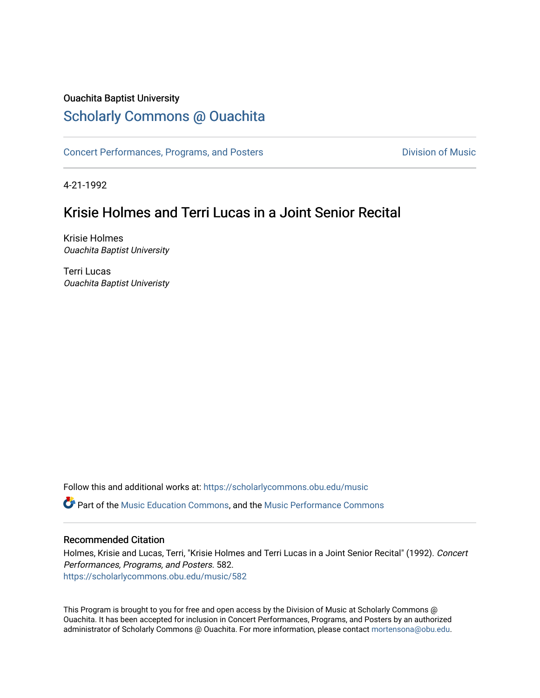## Ouachita Baptist University

## [Scholarly Commons @ Ouachita](https://scholarlycommons.obu.edu/)

[Concert Performances, Programs, and Posters](https://scholarlycommons.obu.edu/music) **Division of Music** Division of Music

4-21-1992

## Krisie Holmes and Terri Lucas in a Joint Senior Recital

Krisie Holmes Ouachita Baptist University

Terri Lucas Ouachita Baptist Univeristy

Follow this and additional works at: [https://scholarlycommons.obu.edu/music](https://scholarlycommons.obu.edu/music?utm_source=scholarlycommons.obu.edu%2Fmusic%2F582&utm_medium=PDF&utm_campaign=PDFCoverPages)  **C** Part of the [Music Education Commons,](http://network.bepress.com/hgg/discipline/1246?utm_source=scholarlycommons.obu.edu%2Fmusic%2F582&utm_medium=PDF&utm_campaign=PDFCoverPages) and the Music Performance Commons

## Recommended Citation

Holmes, Krisie and Lucas, Terri, "Krisie Holmes and Terri Lucas in a Joint Senior Recital" (1992). Concert Performances, Programs, and Posters. 582. [https://scholarlycommons.obu.edu/music/582](https://scholarlycommons.obu.edu/music/582?utm_source=scholarlycommons.obu.edu%2Fmusic%2F582&utm_medium=PDF&utm_campaign=PDFCoverPages) 

This Program is brought to you for free and open access by the Division of Music at Scholarly Commons @ Ouachita. It has been accepted for inclusion in Concert Performances, Programs, and Posters by an authorized administrator of Scholarly Commons @ Ouachita. For more information, please contact [mortensona@obu.edu](mailto:mortensona@obu.edu).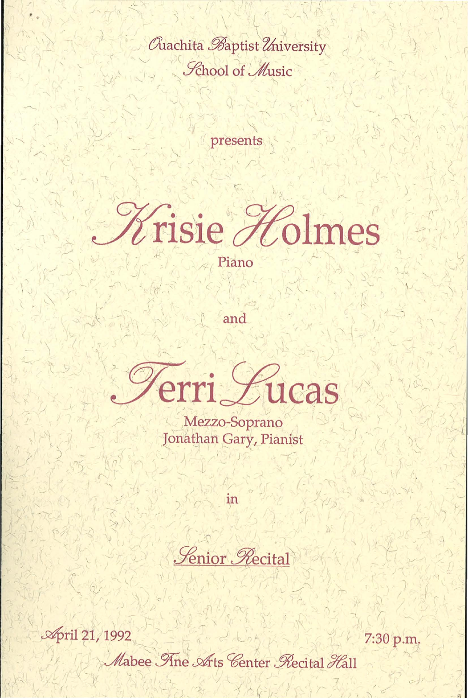Quachita Baptist University **Lehool of Music** 

presents



Piano

and

Terri Lucas

Mezzo-Soprano Jonathan Gary, Pianist

in

**Lenior Recital** 

**April 21, 1992** 7:30 p.m. Mabee Ane Arts Center Recital Hall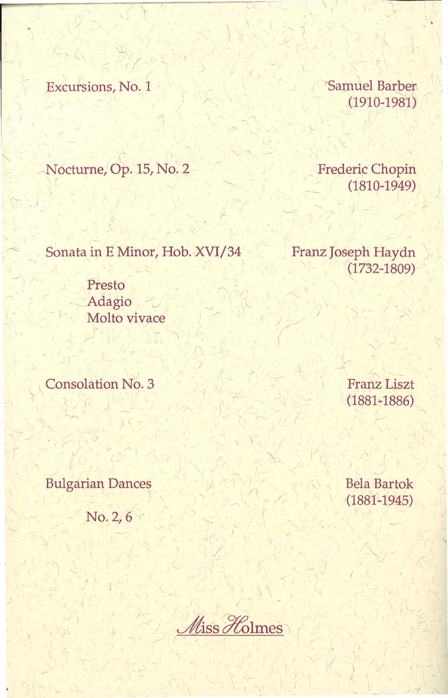Excursions, No. 1

*Samuel Barber*  $(1910 - 1981)$ 

Nocturne, Op. 15, No. 2

**Frederic Chopin**  $(1810 - 1949)$ 

Sonata in E Minor, Hob. XVI/34

Franz Joseph Haydn  $(1732 - 1809)$ 

Presto Adagio Molto vivace

**Consolation No. 3** 

**Franz Liszt**  $(1881 - 1886)$ 

**Bulgarian Dances** 

No. 2, 6

**Bela Bartok**  $(1881 - 1945)$ 

Miss Holmes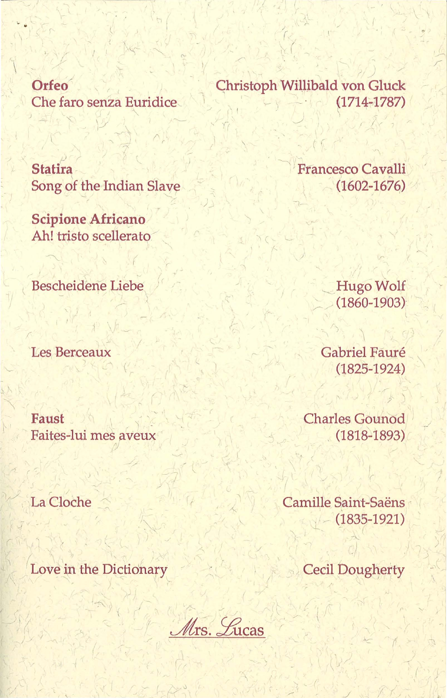Orfeo Che faro senza Euridice

**Statira** Song of the Indian Slave

**Scipione Africano** Ah! tristo scellerato

Bescheidene Liebe

Les Berceaux

Faust Faites-lui mes aveux

La Cloche

Love in the Dictionary

Christoph Willibald von Gluck  $(1714 - 1787)$ 

Francesco Cavalli  $(1602 - 1676)$ 

> **Hugo Wolf**  $(1860 - 1903)$

Gabriel Fauré  $(1825 - 1924)$ 

**Charles Gounod**  $(1818 - 1893)$ 

Camille Saint-Saëns  $(1835 - 1921)$ 

**Cecil Dougherty** 

Mrs. Lucas